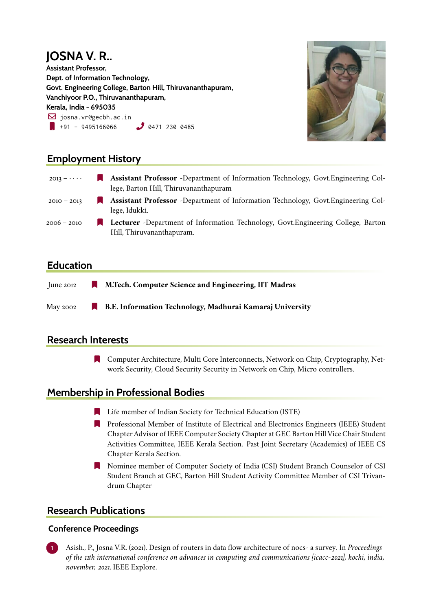#### **JOSNA V. R.. Assistant Professor, Dept. of Information Technology, Govt. Engineering College, Barton Hill, Thiruvananthapuram, Vanchiyoor P.O., Thiruvananthapuram, Kerala, India - 695035**  $\boxdot$  josna.vr@gecbh.ac.in  $\bullet$  +91 - 9495166066  $\bullet$  0471 230 0485



# **Employment History**

| $2013 - \cdots$ | <b>Assistant Professor</b> -Department of Information Technology, Govt. Engineering Col-<br>lege, Barton Hill, Thiruvananthapuram |
|-----------------|-----------------------------------------------------------------------------------------------------------------------------------|
| $2010 - 2013$   | <b>Assistant Professor</b> -Department of Information Technology, Govt. Engineering Col-<br>lege, Idukki.                         |
| 2006 – 2010     | <b>Lecturer</b> -Department of Information Technology, Govt.Engineering College, Barton<br>Hill, Thiruvananthapuram.              |

## **Education**

June 2012 [ **M.Tech. Computer Science and Engineering, IIT Madras** May 2002 [ **B.E. Information Technology, Madhurai Kamaraj University**

## **Research Interests**

[ Computer Architecture, Multi Core Interconnects, Network on Chip, Cryptography, Network Security, Cloud Security Security in Network on Chip, Micro controllers.

## **Membership in Professional Bodies**

- **Example 1** Life member of Indian Society for Technical Education (ISTE)
- **R** Professional Member of Institute of Electrical and Electronics Engineers (IEEE) Student Chapter Advisor of IEEE Computer Society Chapter at GEC Barton Hill Vice Chair Student Activities Committee, IEEE Kerala Section. Past Joint Secretary (Academics) of IEEE CS Chapter Kerala Section.
- [ Nominee member of Computer Society of India (CSI) Student Branch Counselor of CSI Student Branch at GEC, Barton Hill Student Activity Committee Member of CSI Trivandrum Chapter

## **Research Publications**

#### **Conference Proceedings**

**1** Asish., P., Josna V.R. (2021). Design of routers in data flow architecture of nocs- a survey. In *Proceedings of the 11th international conference on advances in computing and communications [icacc-2021], kochi, india, november, 2021*. IEEE Explore.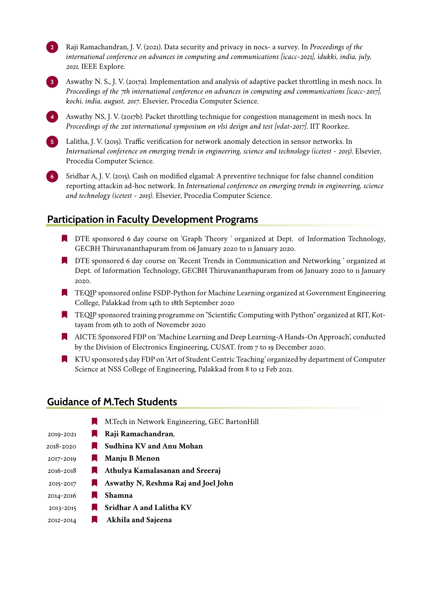**2** Raji Ramachandran, J. V. (2021). Data security and privacy in nocs- a survey. In *Proceedings of the international conference on advances in computing and communications [icacc-2021], idukki, india, july, 2021*. IEEE Explore.



**3** Aswathy N. S., J. V. (2017a). Implementation and analysis of adaptive packet throttling in mesh nocs. In *Proceedings of the 7th international conference on advances in computing and communications [icacc-2017], kochi, india, august, 2017*. Elsevier, Procedia Computer Science.

**4** Aswathy NS, J. V. (2017b). Packet throttling technique for congestion management in mesh nocs. In *Proceedings of the 21st international symposium on vlsi design and test [vdat-2017]*. IIT Roorkee.

**5** Lalitha, J. V. (2015). Traffic verification for network anomaly detection in sensor networks. In *International conference on emerging trends in engineering, science and technology (icetest - 2015)*. Elsevier, Procedia Computer Science.

**6** Sridhar A, J. V. (2015). Cash on modified elgamal: A preventive technique for false channel condition reporting attackin ad-hoc network. In *International conference on emerging trends in engineering, science and technology (icetest - 2015)*. Elsevier, Procedia Computer Science.

### **Participation in Faculty Development Programs**

- **IF** DTE sponsored 6 day course on 'Graph Theory' organized at Dept. of Information Technology, GECBH Thiruvananthapuram from 06 January 2020 to 11 January 2020.
- **IF** DTE sponsored 6 day course on 'Recent Trends in Communication and Networking ' organized at Dept. of Information Technology, GECBH Thiruvananthapuram from 06 January 2020 to 11 January 2020.
- [ TEQIP sponsored online FSDP-Python for Machine Learning organized at Government Engineering College, Palakkad from 14th to 18th September 2020
- [ TEQIP sponsored training programme on "Scientific Computing with Python" organized at RIT, Kottayam from 9th to 20th of Novemebr 2020
- [ AICTE Sponsored FDP on 'Machine Learning and Deep Learning-A Hands-On Approach', conducted by the Division of Electronics Engineering, CUSAT. from 7 to 19 December 2020.
- [ KTU sponsored 5 day FDP on 'Art of Student Centric Teaching' organized by department of Computer Science at NSS College of Engineering, Palakkad from 8 to 12 Feb 2021.

#### **Guidance of M.Tech Students**

|               | M.Tech in Network Engineering, GEC BartonHill |
|---------------|-----------------------------------------------|
| 2019-2021     | Raji Ramachandran,                            |
| 2018-2020     | Sudhina KV and Anu Mohan                      |
| 2017-2019     | Manju B Menon<br>H.                           |
| $2016 - 2018$ | Athulya Kamalasanan and Sreeraj<br>M.         |
| 2015-2017     | Aswathy N, Reshma Raj and Joel John<br>ш      |
| 2014-2016     | Shamna                                        |
| 2013-2015     | Sridhar A and Lalitha KV                      |
| 2012-2014     | Akhila and Sajeena                            |
|               |                                               |